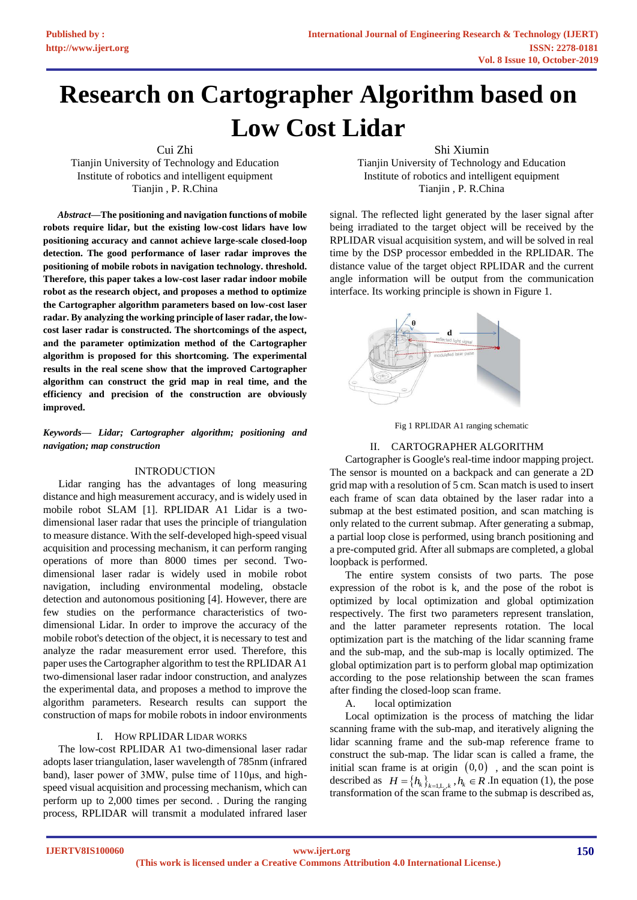# **Research on Cartographer Algorithm based on Low Cost Lidar**

Cui Zhi

Tianjin University of Technology and Education Institute of robotics and intelligent equipment Tianjin , P. R.China

*Abstract—***The positioning and navigation functions of mobile robots require lidar, but the existing low-cost lidars have low positioning accuracy and cannot achieve large-scale closed-loop detection. The good performance of laser radar improves the positioning of mobile robots in navigation technology. threshold. Therefore, this paper takes a low-cost laser radar indoor mobile robot as the research object, and proposes a method to optimize the Cartographer algorithm parameters based on low-cost laser radar. By analyzing the working principle of laser radar, the lowcost laser radar is constructed. The shortcomings of the aspect, and the parameter optimization method of the Cartographer algorithm is proposed for this shortcoming. The experimental results in the real scene show that the improved Cartographer algorithm can construct the grid map in real time, and the efficiency and precision of the construction are obviously improved.**

## *Keywords— Lidar; Cartographer algorithm; positioning and navigation; map construction*

## INTRODUCTION

Lidar ranging has the advantages of long measuring distance and high measurement accuracy, and is widely used in mobile robot SLAM [1]. RPLIDAR A1 Lidar is a twodimensional laser radar that uses the principle of triangulation to measure distance. With the self-developed high-speed visual acquisition and processing mechanism, it can perform ranging operations of more than 8000 times per second. Twodimensional laser radar is widely used in mobile robot navigation, including environmental modeling, obstacle detection and autonomous positioning [4]. However, there are few studies on the performance characteristics of twodimensional Lidar. In order to improve the accuracy of the mobile robot's detection of the object, it is necessary to test and analyze the radar measurement error used. Therefore, this paper uses the Cartographer algorithm to test the RPLIDAR A1 two-dimensional laser radar indoor construction, and analyzes the experimental data, and proposes a method to improve the algorithm parameters. Research results can support the construction of maps for mobile robots in indoor environments

#### I. HOW RPLIDAR LIDAR WORKS

The low-cost RPLIDAR A1 two-dimensional laser radar adopts laser triangulation, laser wavelength of 785nm (infrared band), laser power of 3MW, pulse time of 110μs, and highspeed visual acquisition and processing mechanism, which can perform up to 2,000 times per second. . During the ranging process, RPLIDAR will transmit a modulated infrared laser

Shi Xiumin

Tianjin University of Technology and Education Institute of robotics and intelligent equipment Tianjin , P. R.China

signal. The reflected light generated by the laser signal after being irradiated to the target object will be received by the RPLIDAR visual acquisition system, and will be solved in real time by the DSP processor embedded in the RPLIDAR. The distance value of the target object RPLIDAR and the current angle information will be output from the communication interface. Its working principle is shown in Figure 1.





## II. CARTOGRAPHER ALGORITHM

Cartographer is Google's real-time indoor mapping project. The sensor is mounted on a backpack and can generate a 2D grid map with a resolution of 5 cm. Scan match is used to insert each frame of scan data obtained by the laser radar into a submap at the best estimated position, and scan matching is only related to the current submap. After generating a submap, a partial loop close is performed, using branch positioning and a pre-computed grid. After all submaps are completed, a global loopback is performed.

The entire system consists of two parts. The pose expression of the robot is k, and the pose of the robot is optimized by local optimization and global optimization respectively. The first two parameters represent translation, and the latter parameter represents rotation. The local optimization part is the matching of the lidar scanning frame and the sub-map, and the sub-map is locally optimized. The global optimization part is to perform global map optimization according to the pose relationship between the scan frames after finding the closed-loop scan frame.

A. local optimization

Local optimization is the process of matching the lidar scanning frame with the sub-map, and iteratively aligning the lidar scanning frame and the sub-map reference frame to construct the sub-map. The lidar scan is called a frame, the initial scan frame is at origin  $(0,0)$ , and the scan point is described as  $H = \{h_k\}_{k=1,\ldots,k}$ ,  $h_k \in R$ . In equation (1), the pose transformation of the scan frame to the submap is described as,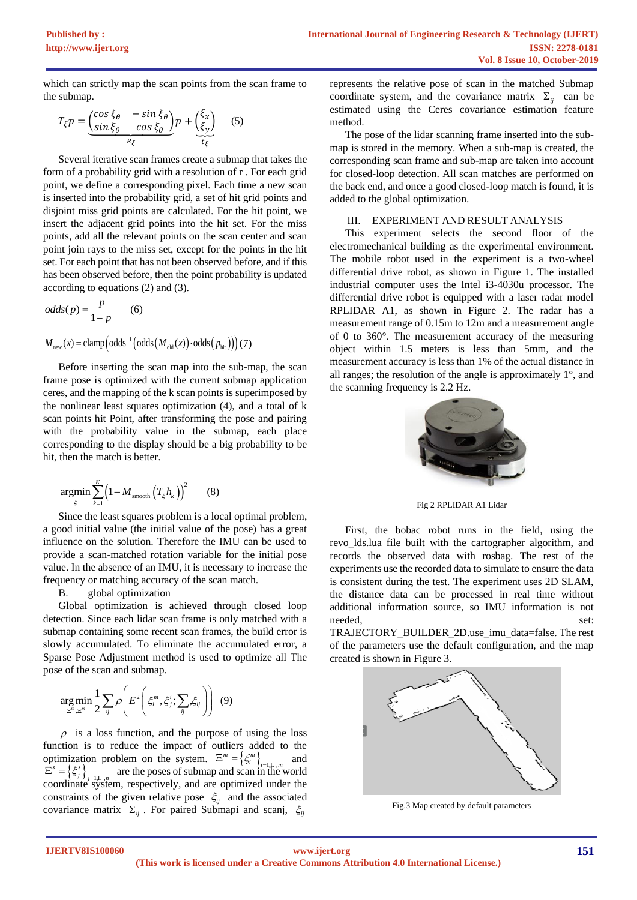which can strictly map the scan points from the scan frame to the submap.

$$
T_{\xi}p = \underbrace{\begin{pmatrix} \cos\xi_{\theta} & -\sin\xi_{\theta} \\ \sin\xi_{\theta} & \cos\xi_{\theta} \end{pmatrix}}_{R_{\xi}}p + \underbrace{\begin{pmatrix} \xi_{x} \\ \xi_{y} \end{pmatrix}}_{t_{\xi}} \quad (5)
$$

Several iterative scan frames create a submap that takes the form of a probability grid with a resolution of r . For each grid point, we define a corresponding pixel. Each time a new scan is inserted into the probability grid, a set of hit grid points and disjoint miss grid points are calculated. For the hit point, we insert the adjacent grid points into the hit set. For the miss points, add all the relevant points on the scan center and scan point join rays to the miss set, except for the points in the hit set. For each point that has not been observed before, and if this has been observed before, then the point probability is updated according to equations (2) and (3).

$$
odds(p) = \frac{p}{1-p} \qquad (6)
$$

 $\left(\text{odds}^{-1}\left(\text{odds}\left(M_{\text{old}}\left(x\right)\right)\text{\cdot odds}\left(\left.p_{\text{hit}}\right)\right)\right)\right)$  $M_{\text{new}}(x) = \text{clamp}\left(\text{odds}^{-1}\left(\text{odds}\left(M_{\text{old}}(x)\right) \cdot \text{odds}\left(p_{\text{hit}}\right)\right)\right)$ (7)

Before inserting the scan map into the sub-map, the scan frame pose is optimized with the current submap application ceres, and the mapping of the k scan points is superimposed by the nonlinear least squares optimization (4), and a total of k scan points hit Point, after transforming the pose and pairing with the probability value in the submap, each place corresponding to the display should be a big probability to be hit, then the match is better.

$$
\underset{\xi}{\text{argmin}} \sum_{k=1}^{K} \Big(1 - M_{\text{smooth}} \left(T_{\xi} h_k\right)\Big)^2 \tag{8}
$$

Since the least squares problem is a local optimal problem, a good initial value (the initial value of the pose) has a great influence on the solution. Therefore the IMU can be used to provide a scan-matched rotation variable for the initial pose value. In the absence of an IMU, it is necessary to increase the frequency or matching accuracy of the scan match.

B. global optimization

Global optimization is achieved through closed loop detection. Since each lidar scan frame is only matched with a submap containing some recent scan frames, the build error is slowly accumulated. To eliminate the accumulated error, a Sparse Pose Adjustment method is used to optimize all The pose of the scan and submap.

$$
\underset{\Xi^m,\Xi^m}{\arg\min} \frac{1}{2} \sum_{ij} \rho \bigg( E^2 \bigg( \xi_i^m, \xi_j^i; \sum_{ij} \xi_{ij} \bigg) \bigg) \tag{9}
$$

 $\rho$  is a loss function, and the purpose of using the loss function is to reduce the impact of outliers added to the optimization problem on the system.  $\Xi^m = \left\{ \xi_i^m \right\}_{i=1,\dots,m}$  and  $\Xi^s = \left\{ \xi^s_j \right\}_{j=1,\ldots,n}$  are the poses of submap and scan in the world coordinate system, respectively, and are optimized under the constraints of the given relative pose  $\xi_{ij}$  and the associated covariance matrix  $\Sigma_{ij}$ . For paired Submapi and scanj,  $\zeta_{ij}$ 

represents the relative pose of scan in the matched Submap coordinate system, and the covariance matrix  $\Sigma_{ij}$  can be estimated using the Ceres covariance estimation feature method.

The pose of the lidar scanning frame inserted into the submap is stored in the memory. When a sub-map is created, the corresponding scan frame and sub-map are taken into account for closed-loop detection. All scan matches are performed on the back end, and once a good closed-loop match is found, it is added to the global optimization.

### III. EXPERIMENT AND RESULT ANALYSIS

This experiment selects the second floor of the electromechanical building as the experimental environment. The mobile robot used in the experiment is a two-wheel differential drive robot, as shown in Figure 1. The installed industrial computer uses the Intel i3-4030u processor. The differential drive robot is equipped with a laser radar model RPLIDAR A1, as shown in Figure 2. The radar has a measurement range of 0.15m to 12m and a measurement angle of 0 to 360°. The measurement accuracy of the measuring object within 1.5 meters is less than 5mm, and the measurement accuracy is less than 1% of the actual distance in all ranges; the resolution of the angle is approximately 1°, and the scanning frequency is 2.2 Hz.



Fig 2 RPLIDAR A1 Lidar

First, the bobac robot runs in the field, using the revo\_lds.lua file built with the cartographer algorithm, and records the observed data with rosbag. The rest of the experiments use the recorded data to simulate to ensure the data is consistent during the test. The experiment uses 2D SLAM, the distance data can be processed in real time without additional information source, so IMU information is not needed, set:

TRAJECTORY\_BUILDER\_2D.use\_imu\_data=false. The rest of the parameters use the default configuration, and the map created is shown in Figure 3.



Fig.3 Map created by default parameters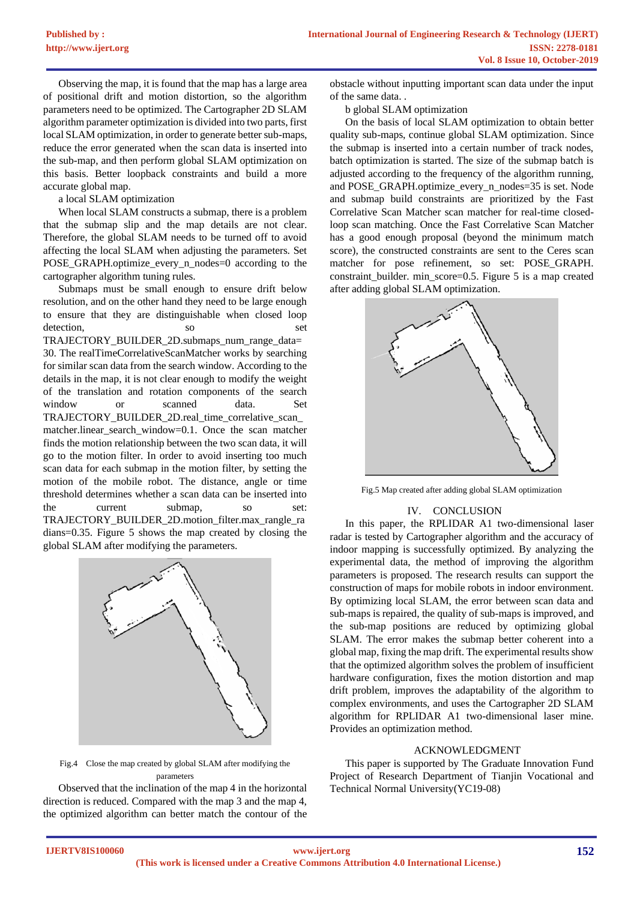Observing the map, it is found that the map has a large area of positional drift and motion distortion, so the algorithm parameters need to be optimized. The Cartographer 2D SLAM algorithm parameter optimization is divided into two parts, first local SLAM optimization, in order to generate better sub-maps, reduce the error generated when the scan data is inserted into the sub-map, and then perform global SLAM optimization on this basis. Better loopback constraints and build a more accurate global map.

a local SLAM optimization

When local SLAM constructs a submap, there is a problem that the submap slip and the map details are not clear. Therefore, the global SLAM needs to be turned off to avoid affecting the local SLAM when adjusting the parameters. Set POSE\_GRAPH.optimize\_every\_n\_nodes=0 according to the cartographer algorithm tuning rules.

Submaps must be small enough to ensure drift below resolution, and on the other hand they need to be large enough to ensure that they are distinguishable when closed loop detection so set TRAJECTORY\_BUILDER\_2D.submaps\_num\_range\_data= 30. The realTimeCorrelativeScanMatcher works by searching for similar scan data from the search window. According to the details in the map, it is not clear enough to modify the weight of the translation and rotation components of the search window or scanned data. Set TRAJECTORY\_BUILDER\_2D.real\_time\_correlative\_scan matcher.linear\_search\_window=0.1. Once the scan matcher finds the motion relationship between the two scan data, it will go to the motion filter. In order to avoid inserting too much scan data for each submap in the motion filter, by setting the motion of the mobile robot. The distance, angle or time threshold determines whether a scan data can be inserted into the current submap, so set: TRAJECTORY\_BUILDER\_2D.motion\_filter.max\_rangle\_ra dians=0.35. Figure 5 shows the map created by closing the global SLAM after modifying the parameters.



Fig.4 Close the map created by global SLAM after modifying the parameters

Observed that the inclination of the map 4 in the horizontal direction is reduced. Compared with the map 3 and the map 4, the optimized algorithm can better match the contour of the obstacle without inputting important scan data under the input of the same data. .

b global SLAM optimization

On the basis of local SLAM optimization to obtain better quality sub-maps, continue global SLAM optimization. Since the submap is inserted into a certain number of track nodes, batch optimization is started. The size of the submap batch is adjusted according to the frequency of the algorithm running, and POSE\_GRAPH.optimize\_every\_n\_nodes=35 is set. Node and submap build constraints are prioritized by the Fast Correlative Scan Matcher scan matcher for real-time closedloop scan matching. Once the Fast Correlative Scan Matcher has a good enough proposal (beyond the minimum match score), the constructed constraints are sent to the Ceres scan matcher for pose refinement, so set: POSE\_GRAPH. constraint\_builder. min\_score=0.5. Figure 5 is a map created after adding global SLAM optimization.



Fig.5 Map created after adding global SLAM optimization

#### IV. CONCLUSION

In this paper, the RPLIDAR A1 two-dimensional laser radar is tested by Cartographer algorithm and the accuracy of indoor mapping is successfully optimized. By analyzing the experimental data, the method of improving the algorithm parameters is proposed. The research results can support the construction of maps for mobile robots in indoor environment. By optimizing local SLAM, the error between scan data and sub-maps is repaired, the quality of sub-maps is improved, and the sub-map positions are reduced by optimizing global SLAM. The error makes the submap better coherent into a global map, fixing the map drift. The experimental results show that the optimized algorithm solves the problem of insufficient hardware configuration, fixes the motion distortion and map drift problem, improves the adaptability of the algorithm to complex environments, and uses the Cartographer 2D SLAM algorithm for RPLIDAR A1 two-dimensional laser mine. Provides an optimization method.

#### ACKNOWLEDGMENT

This paper is supported by The Graduate Innovation Fund Project of Research Department of Tianjin Vocational and Technical Normal University(YC19-08)